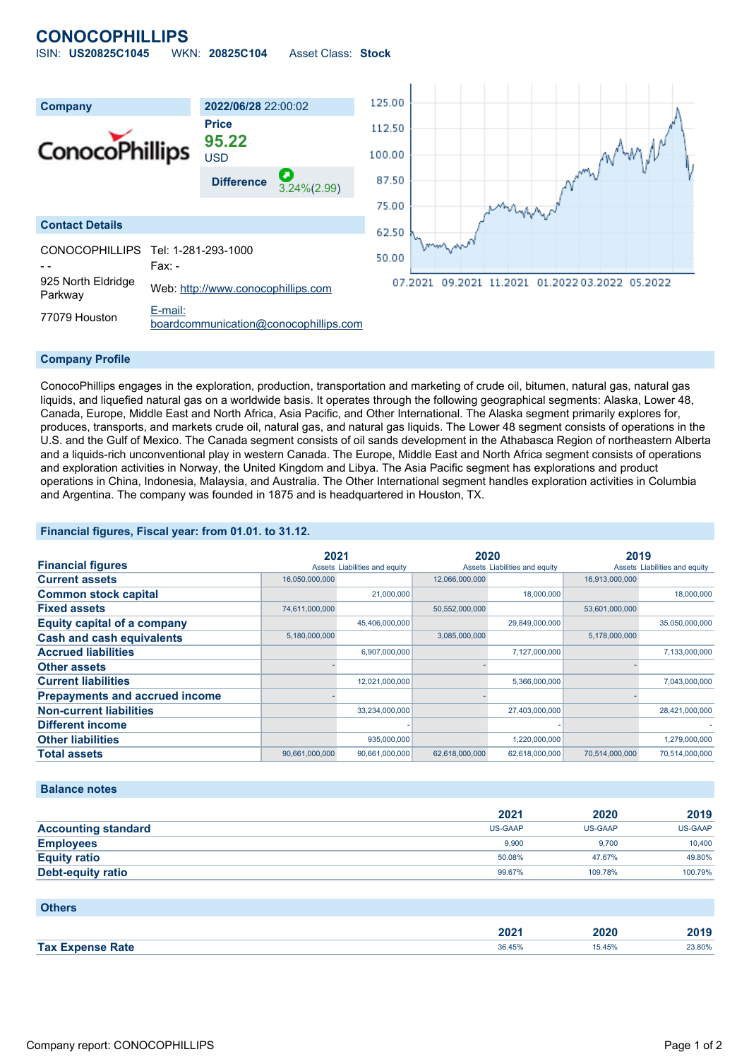# **CONOCOPHILLIPS**

| ISIN: US20825C1045 | WKN: 20825C104 | Asset Class: Stock |  |
|--------------------|----------------|--------------------|--|
|                    |                |                    |  |



#### **Company Profile**

ConocoPhillips engages in the exploration, production, transportation and marketing of crude oil, bitumen, natural gas, natural gas liquids, and liquefied natural gas on a worldwide basis. It operates through the following geographical segments: Alaska, Lower 48, Canada, Europe, Middle East and North Africa, Asia Pacific, and Other International. The Alaska segment primarily explores for, produces, transports, and markets crude oil, natural gas, and natural gas liquids. The Lower 48 segment consists of operations in the U.S. and the Gulf of Mexico. The Canada segment consists of oil sands development in the Athabasca Region of northeastern Alberta and a liquids-rich unconventional play in western Canada. The Europe, Middle East and North Africa segment consists of operations and exploration activities in Norway, the United Kingdom and Libya. The Asia Pacific segment has explorations and product operations in China, Indonesia, Malaysia, and Australia. The Other International segment handles exploration activities in Columbia and Argentina. The company was founded in 1875 and is headquartered in Houston, TX.

### **Financial figures, Fiscal year: from 01.01. to 31.12.**

|                                       | 2021           |                               | 2020           |                               | 2019           |                               |
|---------------------------------------|----------------|-------------------------------|----------------|-------------------------------|----------------|-------------------------------|
| <b>Financial figures</b>              |                | Assets Liabilities and equity |                | Assets Liabilities and equity |                | Assets Liabilities and equity |
| <b>Current assets</b>                 | 16,050,000,000 |                               | 12,066,000,000 |                               | 16,913,000,000 |                               |
| <b>Common stock capital</b>           |                | 21,000,000                    |                | 18,000,000                    |                | 18,000,000                    |
| <b>Fixed assets</b>                   | 74,611,000,000 |                               | 50,552,000,000 |                               | 53,601,000,000 |                               |
| <b>Equity capital of a company</b>    |                | 45,406,000,000                |                | 29,849,000,000                |                | 35,050,000,000                |
| <b>Cash and cash equivalents</b>      | 5,180,000,000  |                               | 3,085,000,000  |                               | 5,178,000,000  |                               |
| <b>Accrued liabilities</b>            |                | 6,907,000,000                 |                | 7,127,000,000                 |                | 7,133,000,000                 |
| <b>Other assets</b>                   |                |                               |                |                               |                |                               |
| <b>Current liabilities</b>            |                | 12,021,000,000                |                | 5,366,000,000                 |                | 7,043,000,000                 |
| <b>Prepayments and accrued income</b> |                |                               |                |                               |                |                               |
| <b>Non-current liabilities</b>        |                | 33,234,000,000                |                | 27,403,000,000                |                | 28,421,000,000                |
| <b>Different income</b>               |                |                               |                |                               |                |                               |
| <b>Other liabilities</b>              |                | 935,000,000                   |                | 1,220,000,000                 |                | 1,279,000,000                 |
| <b>Total assets</b>                   | 90,661,000,000 | 90,661,000,000                | 62,618,000,000 | 62,618,000,000                | 70,514,000,000 | 70,514,000,000                |

#### **Balance notes**

|                            | 2021           | 2020    | 2019    |
|----------------------------|----------------|---------|---------|
| <b>Accounting standard</b> | <b>US-GAAP</b> | US-GAAP | US-GAAP |
| <b>Employees</b>           | 9.900          | 9.700   | 10,400  |
| <b>Equity ratio</b>        | 50.08%         | 47.67%  | 49.80%  |
| Debt-equity ratio          | 99.67%         | 109.78% | 100.79% |

| <b>Others</b>           |        |        |        |
|-------------------------|--------|--------|--------|
|                         | 2021   | 2020   | 2019   |
| <b>Tax Expense Rate</b> | 36.45% | 15.45% | 23.80% |